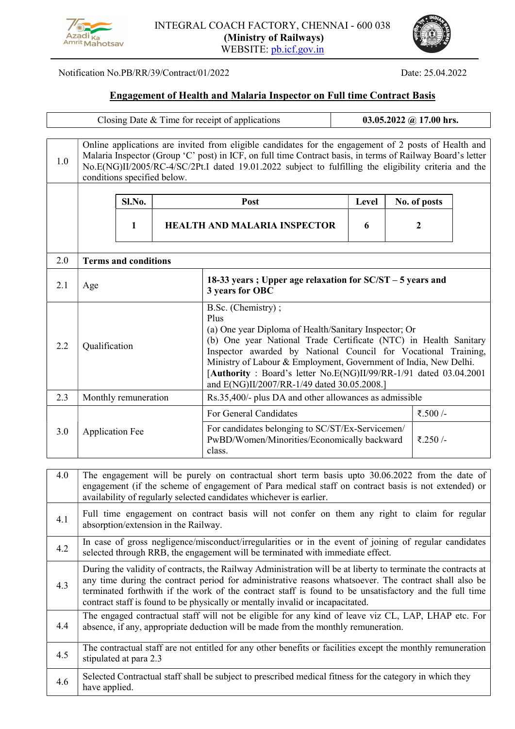



## Notification No.PB/RR/39/Contract/01/2022 Date: 25.04.2022

## Engagement of Health and Malaria Inspector on Full time Contract Basis

|     | Closing Date & Time for receipt of applications                                                                                                                                                                                                                                                                                                                                                                    |                                                                                                                                                                                          |                                     |                                                                                                                                                                                                                                                                                                                                                                                                                    |  |   | 03.05.2022 @ 17.00 hrs. |                    |  |  |
|-----|--------------------------------------------------------------------------------------------------------------------------------------------------------------------------------------------------------------------------------------------------------------------------------------------------------------------------------------------------------------------------------------------------------------------|------------------------------------------------------------------------------------------------------------------------------------------------------------------------------------------|-------------------------------------|--------------------------------------------------------------------------------------------------------------------------------------------------------------------------------------------------------------------------------------------------------------------------------------------------------------------------------------------------------------------------------------------------------------------|--|---|-------------------------|--------------------|--|--|
| 1.0 | Online applications are invited from eligible candidates for the engagement of 2 posts of Health and<br>Malaria Inspector (Group 'C' post) in ICF, on full time Contract basis, in terms of Railway Board's letter<br>No.E(NG)II/2005/RC-4/SC/2Pt.I dated 19.01.2022 subject to fulfilling the eligibility criteria and the<br>conditions specified below.                                                         |                                                                                                                                                                                          |                                     |                                                                                                                                                                                                                                                                                                                                                                                                                    |  |   |                         |                    |  |  |
|     |                                                                                                                                                                                                                                                                                                                                                                                                                    | Sl.No.                                                                                                                                                                                   | Level<br>Post                       |                                                                                                                                                                                                                                                                                                                                                                                                                    |  |   | No. of posts            |                    |  |  |
|     |                                                                                                                                                                                                                                                                                                                                                                                                                    | 1                                                                                                                                                                                        | <b>HEALTH AND MALARIA INSPECTOR</b> |                                                                                                                                                                                                                                                                                                                                                                                                                    |  | 6 |                         | $\boldsymbol{2}$   |  |  |
| 2.0 | <b>Terms and conditions</b>                                                                                                                                                                                                                                                                                                                                                                                        |                                                                                                                                                                                          |                                     |                                                                                                                                                                                                                                                                                                                                                                                                                    |  |   |                         |                    |  |  |
| 2.1 | Age                                                                                                                                                                                                                                                                                                                                                                                                                |                                                                                                                                                                                          |                                     | 18-33 years; Upper age relaxation for SC/ST – 5 years and<br>3 years for OBC                                                                                                                                                                                                                                                                                                                                       |  |   |                         |                    |  |  |
| 2.2 | Qualification                                                                                                                                                                                                                                                                                                                                                                                                      |                                                                                                                                                                                          |                                     | B.Sc. (Chemistry);<br>Plus<br>(a) One year Diploma of Health/Sanitary Inspector; Or<br>(b) One year National Trade Certificate (NTC) in Health Sanitary<br>Inspector awarded by National Council for Vocational Training,<br>Ministry of Labour & Employment, Government of India, New Delhi.<br>[Authority : Board's letter No.E(NG)II/99/RR-1/91 dated 03.04.2001<br>and E(NG)II/2007/RR-1/49 dated 30.05.2008.] |  |   |                         |                    |  |  |
| 2.3 | Monthly remuneration                                                                                                                                                                                                                                                                                                                                                                                               |                                                                                                                                                                                          |                                     | Rs.35,400/- plus DA and other allowances as admissible                                                                                                                                                                                                                                                                                                                                                             |  |   |                         |                    |  |  |
| 3.0 | <b>Application Fee</b>                                                                                                                                                                                                                                                                                                                                                                                             |                                                                                                                                                                                          |                                     | For General Candidates<br>For candidates belonging to SC/ST/Ex-Servicemen/<br>PwBD/Women/Minorities/Economically backward<br>class.                                                                                                                                                                                                                                                                                |  |   |                         | ₹.500/-<br>₹.250/- |  |  |
| 4.0 | The engagement will be purely on contractual short term basis upto 30.06.2022 from the date of<br>engagement (if the scheme of engagement of Para medical staff on contract basis is not extended) or<br>availability of regularly selected candidates whichever is earlier.                                                                                                                                       |                                                                                                                                                                                          |                                     |                                                                                                                                                                                                                                                                                                                                                                                                                    |  |   |                         |                    |  |  |
| 4.1 | Full time engagement on contract basis will not confer on them any right to claim for regular<br>absorption/extension in the Railway.                                                                                                                                                                                                                                                                              |                                                                                                                                                                                          |                                     |                                                                                                                                                                                                                                                                                                                                                                                                                    |  |   |                         |                    |  |  |
| 4.2 |                                                                                                                                                                                                                                                                                                                                                                                                                    | In case of gross negligence/misconduct/irregularities or in the event of joining of regular candidates<br>selected through RRB, the engagement will be terminated with immediate effect. |                                     |                                                                                                                                                                                                                                                                                                                                                                                                                    |  |   |                         |                    |  |  |
| 4.3 | During the validity of contracts, the Railway Administration will be at liberty to terminate the contracts at<br>any time during the contract period for administrative reasons whatsoever. The contract shall also be<br>terminated forthwith if the work of the contract staff is found to be unsatisfactory and the full time<br>contract staff is found to be physically or mentally invalid or incapacitated. |                                                                                                                                                                                          |                                     |                                                                                                                                                                                                                                                                                                                                                                                                                    |  |   |                         |                    |  |  |

4.4 The engaged contractual staff will not be eligible for any kind of leave viz CL, LAP, LHAP etc. For absence, if any, appropriate deduction will be made from the monthly remuneration.

| −… | The contractual staff are not entitled for any other benefits or facilities except the monthly remuneration |
|----|-------------------------------------------------------------------------------------------------------------|
|    | stipulated at para 2.3                                                                                      |

|  | Selected Contractual staff shall be subject to prescribed medical fitness for the category in which they |
|--|----------------------------------------------------------------------------------------------------------|
|  | $4.6$ ave applied.                                                                                       |